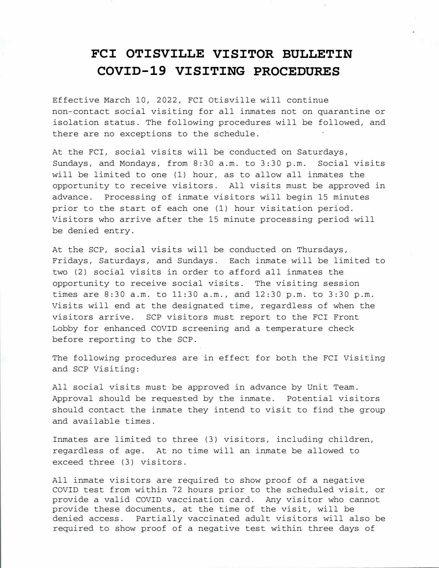### **FCI OTISVILLE VISITOR BULLETIN COVID-19 VISITING PROCEDURES**

Effective March 10, 2022, FCI Otisville will continue non-contact social visiting for all inmates not on quarantine or isolation status. The following procedures will be followed, and there are no exceptions to the schedule.

At the FCI, social visits will be conducted on Saturdays, Sundays, and Mondays, from 8:30 a.m. to 3:30 p.m. Social visits will be limited to one (1) hour, as to allow all inmates the opportunity to receive visitors. All visits must be approved in advance. Processing of inmate visitors will begin 15 minutes prior to the start of each one (1) hour visitation period. Visitors who arrive after the 15 minute processing period will be denied entry.

At the SCP, social visits will be conducted on Thursdays, Fridays, Saturdays, and Sundays. Each inmate will be limited to two (2) social visits in order to afford all inmates the opportunity to receive social visits. The visiting session times are 8:30 a.m. to 11:30 a.m., and 12:30 p.m. to 3:30 p.m. Visits will end at the designated time, regardless of when the visitors arrive. SCP visitors must report to the FCI Front Lobby for enhanced COVID screening and a temperature check before reporting to the SCP.

The following procedures are in effect for both the FCI Visiting and SCP Visiting:

All social visits must be approved in advance by Unit Team. Approval should be requested by the inmate. Potential visitors should contact the inmate they intend to visit to find the group and available times.

Inmates are limited to three (3) visitors, including children, regardless of age. At no time will an inmate be allowed to exceed three (3) visitors.

All inmate visitors are required to show proof of a negative COVID test from within 72 hours prior to the scheduled visit, or provide a valid COVID vaccination card. Any visitor who cannot provide these documents, at the time of the visit, will be denied access. Partially vaccinated adult visitors will also be required to show proof of a negative test within three days of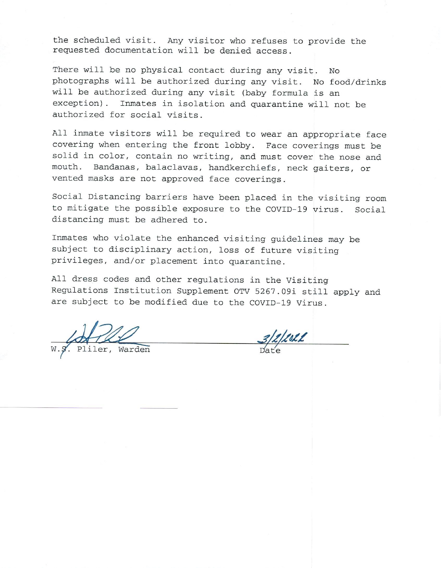the scheduled visit. Any visitor who refuses to provide the requested documentation will be denied access.

There will be no physical contact during any visit.  $N<sub>O</sub>$ photographs will be authorized during any visit. No food/drinks will be authorized during any visit (baby formula is an exception). Inmates in isolation and quarantine will not be authorized for social visits.

All inmate visitors will be required to wear an appropriate face covering when entering the front lobby. Face coverings must be solid in color, contain no writing, and must cover the nose and mouth. Bandanas, balaclavas, handkerchiefs, neck gaiters, or vented masks are not approved face coverings.

Social Distancing barriers have been placed in the visiting room to mitigate the possible exposure to the COVID-19 virus. Social distancing must be adhered to.

Inmates who violate the enhanced visiting guidelines may be subject to disciplinary action, loss of future visiting privileges, and/or placement into quarantine.

All dress codes and other regulations in the Visiting Regulations Institution Supplement OTV 5267.09i still apply and are subject to be modified due to the COVID-19 Virus.

3/2/2022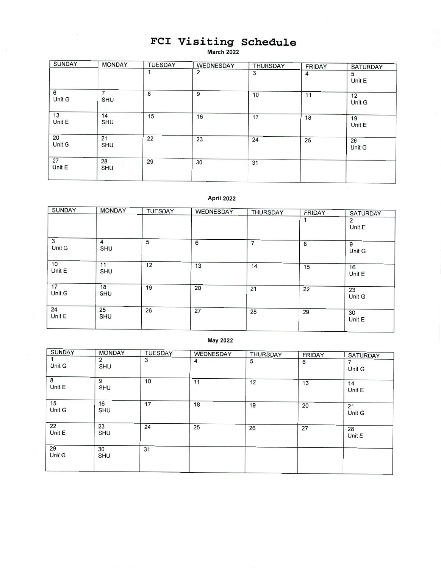# FCI Visiting Schedule<br>March 2022

| <b>SUNDAY</b> | <b>MONDAY</b>    | <b>TUESDAY</b> | WEDNESDAY | <b>THURSDAY</b> | <b>FRIDAY</b> | <b>SATURDAY</b> |
|---------------|------------------|----------------|-----------|-----------------|---------------|-----------------|
|               |                  |                | 2         | 3               | 4             | 5<br>Unit E     |
| 6<br>Unit G   | <b>SHU</b>       | 8              | 9         | 10              | 11            | 12<br>Unit G    |
| 13<br>Unit E  | 14<br><b>SHU</b> | 15             | 16        | 17              | 18            | 19<br>Unit E    |
| 20<br>Unit G  | 21<br><b>SHU</b> | 22             | 23        | 24              | 25            | 26<br>Unit G    |
| 27<br>Unit E  | 28<br><b>SHU</b> | 29             | 30        | 31              |               |                 |

### **April 2022**

| SUNDAY       | <b>MONDAY</b>    | <b>TUESDAY</b> | WEDNESDAY | <b>THURSDAY</b> | <b>FRIDAY</b> | <b>SATURDAY</b> |
|--------------|------------------|----------------|-----------|-----------------|---------------|-----------------|
|              |                  |                |           |                 |               | 2<br>Unit E     |
| 3<br>Unit G  | 4<br><b>SHU</b>  | 5              | 6         | ⇁               | 8             | 9<br>Unit G     |
| 10<br>Unit E | 11<br><b>SHU</b> | 12             | 13        | 14              | 15            | 16<br>Unit E    |
| 17<br>Unit G | 18<br><b>SHU</b> | 19             | 20        | 21              | 22            | 23<br>Unit G    |
| 24<br>Unit E | 25<br><b>SHU</b> | 26             | 27        | 28              | 29            | 30<br>Unit E    |

#### May 2022

| <b>SUNDAY</b> | <b>MONDAY</b>    | <b>TUESDAY</b> | WEDNESDAY | <b>THURSDAY</b> | <b>FRIDAY</b> | <b>SATURDAY</b> |
|---------------|------------------|----------------|-----------|-----------------|---------------|-----------------|
| Unit G        | <b>SHU</b>       | 3              | 4         | 5               | 6             | Unit G          |
| 8<br>Unit E   | 9<br><b>SHU</b>  | 10             | 11        | 12              | 13            | 14<br>Unit E    |
| 15<br>Unit G  | 16<br><b>SHU</b> | 17             | 18        | 19              | 20            | 21<br>Unit G    |
| 22<br>Unit E  | 23<br><b>SHU</b> | 24             | 25        | 26              | 27            | 28<br>Unit E    |
| 29<br>Unit G  | 30<br><b>SHU</b> | 31             |           |                 |               |                 |